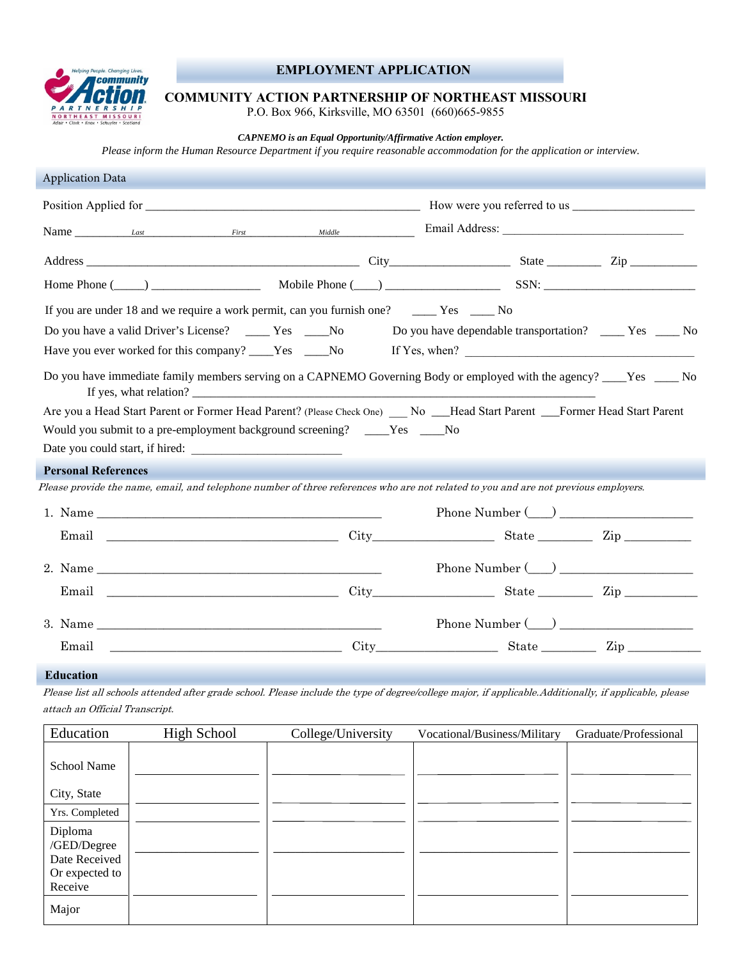

## **EMPLOYMENT APPLICATION**

## **COMMUNITY ACTION PARTNERSHIP OF NORTHEAST MISSOURI**

P.O. Box 966, Kirksville, MO 63501 (660)665-9855

*CAPNEMO is an Equal Opportunity/Affirmative Action employer.* 

*Please inform the Human Resource Department if you require reasonable accommodation for the application or interview.*

| <b>Application Data</b>                                                                                                             |  |
|-------------------------------------------------------------------------------------------------------------------------------------|--|
|                                                                                                                                     |  |
| Name Last Last First Middle Middle Email Address:                                                                                   |  |
|                                                                                                                                     |  |
|                                                                                                                                     |  |
| If you are under 18 and we require a work permit, can you furnish one? ________ Yes _______ No                                      |  |
| Do you have a valid Driver's License? ________ Yes ________No<br>Do you have dependable transportation? _______ Yes ______ No       |  |
| Have you ever worked for this company? ____Yes ____No<br>If Yes, when? $\qquad \qquad$                                              |  |
| Do you have immediate family members serving on a CAPNEMO Governing Body or employed with the agency? ____Yes _____No               |  |
| Are you a Head Start Parent or Former Head Parent? (Please Check One) __ No __Head Start Parent __Former Head Start Parent          |  |
| Would you submit to a pre-employment background screening? ____Yes ____No                                                           |  |
|                                                                                                                                     |  |
| <b>Personal References</b>                                                                                                          |  |
| Please provide the name, email, and telephone number of three references who are not related to you and are not previous employers. |  |
| Phone Number $(\_)$                                                                                                                 |  |
|                                                                                                                                     |  |
| Phone Number $(\_)$                                                                                                                 |  |
| Email City City State Zip                                                                                                           |  |
| Phone Number $(\_)$                                                                                                                 |  |
|                                                                                                                                     |  |

## **EEd Education**

Please list all schools attended after grade school. Please include the type of degree/college major, if applicable.Additionally, if applicable, please attach an Official Transcript.

| Education                    | <b>High School</b> | College/University | Vocational/Business/Military | Graduate/Professional |
|------------------------------|--------------------|--------------------|------------------------------|-----------------------|
| School Name                  |                    |                    |                              |                       |
| City, State                  |                    |                    |                              |                       |
| Yrs. Completed               |                    |                    |                              |                       |
| Diploma                      |                    |                    |                              |                       |
| /GED/Degree<br>Date Received |                    |                    |                              |                       |
| Or expected to               |                    |                    |                              |                       |
| Receive                      |                    |                    |                              |                       |
| Major                        |                    |                    |                              |                       |